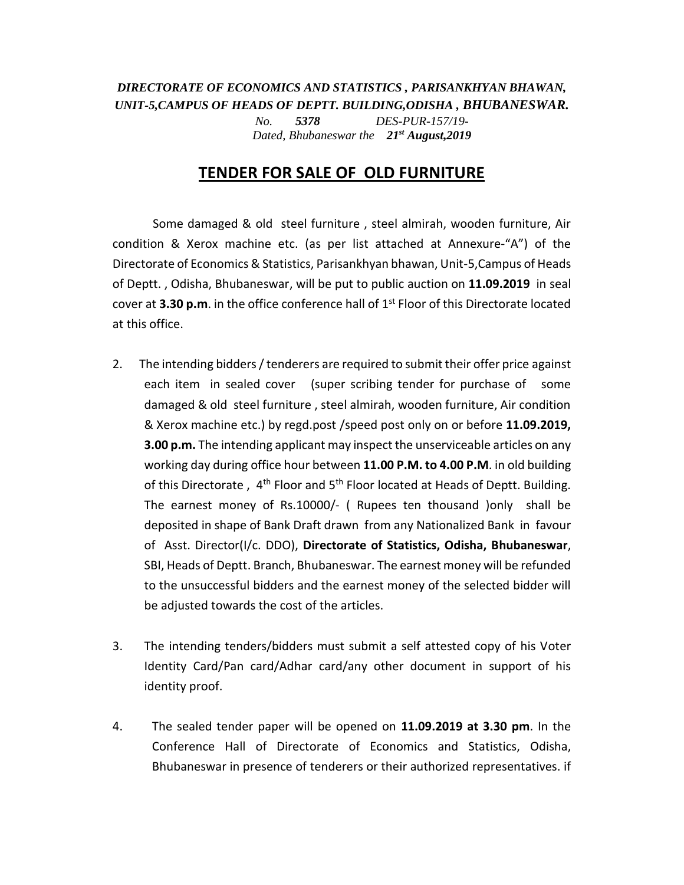## *DIRECTORATE OF ECONOMICS AND STATISTICS , PARISANKHYAN BHAWAN, UNIT-5,CAMPUS OF HEADS OF DEPTT. BUILDING,ODISHA , BHUBANESWAR. No. 5378 DES-PUR-157/19-*

*Dated, Bhubaneswar the 21st August,2019*

## **TENDER FOR SALE OF OLD FURNITURE**

Some damaged & old steel furniture , steel almirah, wooden furniture, Air condition & Xerox machine etc. (as per list attached at Annexure-"A") of the Directorate of Economics & Statistics, Parisankhyan bhawan, Unit-5,Campus of Heads of Deptt. , Odisha, Bhubaneswar, will be put to public auction on **11.09.2019** in seal cover at **3.30 p.m**. in the office conference hall of 1<sup>st</sup> Floor of this Directorate located at this office.

- 2. The intending bidders / tenderers are required to submit their offer price against each item in sealed cover (super scribing tender for purchase of some damaged & old steel furniture , steel almirah, wooden furniture, Air condition & Xerox machine etc.) by regd.post /speed post only on or before **11.09.2019, 3.00 p.m.** The intending applicant may inspect the unserviceable articles on any working day during office hour between **11.00 P.M. to 4.00 P.M**. in old building of this Directorate, 4<sup>th</sup> Floor and 5<sup>th</sup> Floor located at Heads of Deptt. Building. The earnest money of Rs.10000/- ( Rupees ten thousand )only shall be deposited in shape of Bank Draft drawn from any Nationalized Bank in favour of Asst. Director(I/c. DDO), **Directorate of Statistics, Odisha, Bhubaneswar**, SBI, Heads of Deptt. Branch, Bhubaneswar. The earnest money will be refunded to the unsuccessful bidders and the earnest money of the selected bidder will be adjusted towards the cost of the articles.
- 3. The intending tenders/bidders must submit a self attested copy of his Voter Identity Card/Pan card/Adhar card/any other document in support of his identity proof.
- 4. The sealed tender paper will be opened on **11.09.2019 at 3.30 pm**. In the Conference Hall of Directorate of Economics and Statistics, Odisha, Bhubaneswar in presence of tenderers or their authorized representatives. if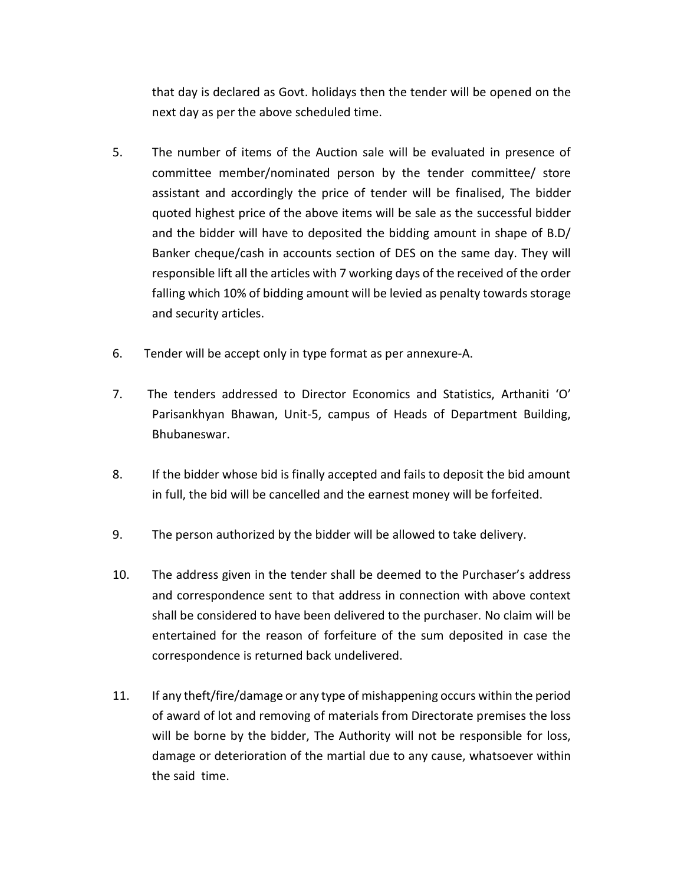that day is declared as Govt. holidays then the tender will be opened on the next day as per the above scheduled time.

- 5. The number of items of the Auction sale will be evaluated in presence of committee member/nominated person by the tender committee/ store assistant and accordingly the price of tender will be finalised, The bidder quoted highest price of the above items will be sale as the successful bidder and the bidder will have to deposited the bidding amount in shape of B.D/ Banker cheque/cash in accounts section of DES on the same day. They will responsible lift all the articles with 7 working days of the received of the order falling which 10% of bidding amount will be levied as penalty towards storage and security articles.
- 6. Tender will be accept only in type format as per annexure-A.
- 7. The tenders addressed to Director Economics and Statistics, Arthaniti 'O' Parisankhyan Bhawan, Unit-5, campus of Heads of Department Building, Bhubaneswar.
- 8. If the bidder whose bid is finally accepted and fails to deposit the bid amount in full, the bid will be cancelled and the earnest money will be forfeited.
- 9. The person authorized by the bidder will be allowed to take delivery.
- 10. The address given in the tender shall be deemed to the Purchaser's address and correspondence sent to that address in connection with above context shall be considered to have been delivered to the purchaser. No claim will be entertained for the reason of forfeiture of the sum deposited in case the correspondence is returned back undelivered.
- 11. If any theft/fire/damage or any type of mishappening occurs within the period of award of lot and removing of materials from Directorate premises the loss will be borne by the bidder, The Authority will not be responsible for loss, damage or deterioration of the martial due to any cause, whatsoever within the said time.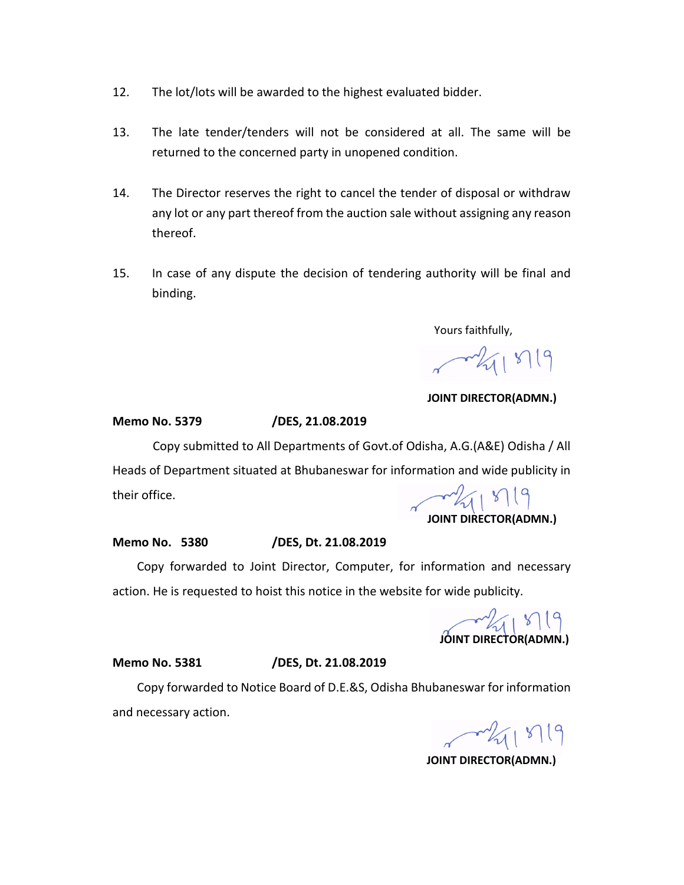- 12. The lot/lots will be awarded to the highest evaluated bidder.
- 13. The late tender/tenders will not be considered at all. The same will be returned to the concerned party in unopened condition.
- 14. The Director reserves the right to cancel the tender of disposal or withdraw any lot or any part thereof from the auction sale without assigning any reason thereof.
- 15. In case of any dispute the decision of tendering authority will be final and binding.

Yours faithfully,

 $-211819$ 

 **JOINT DIRECTOR(ADMN.)**

**Memo No. 5379 /DES, 21.08.2019**

Copy submitted to All Departments of Govt.of Odisha, A.G.(A&E) Odisha / All Heads of Department situated at Bhubaneswar for information and wide publicity in

their office.

 $\frac{1}{4}$  **JOINT DIRECTOR(ADMN.)**

## **Memo No. 5380 /DES, Dt. 21.08.2019**

 Copy forwarded to Joint Director, Computer, for information and necessary action. He is requested to hoist this notice in the website for wide publicity.

**JOINT DIRECTOR(ADMN.)** 

**Memo No. 5381 /DES, Dt. 21.08.2019**

 Copy forwarded to Notice Board of D.E.&S, Odisha Bhubaneswar for information and necessary action.

 $-211819$ 

**JOINT DIRECTOR(ADMN.)**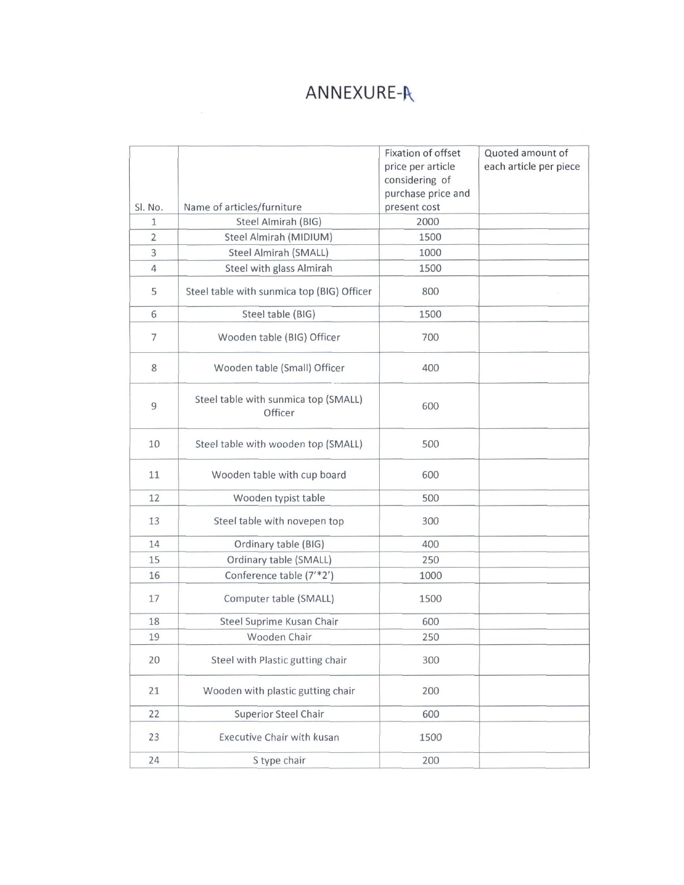## ANNEXURE-A

|                     |                                                   | Fixation of offset   | Quoted amount of       |
|---------------------|---------------------------------------------------|----------------------|------------------------|
|                     |                                                   | price per article    | each article per piece |
|                     |                                                   | considering of       |                        |
|                     |                                                   | purchase price and   |                        |
| SI. No.             | Name of articles/furniture<br>Steel Almirah (BIG) | present cost<br>2000 |                        |
| 1<br>$\overline{2}$ | Steel Almirah (MIDIUM)                            | 1500                 |                        |
| 3                   | Steel Almirah (SMALL)                             | 1000                 |                        |
| $\overline{4}$      | Steel with glass Almirah                          | 1500                 |                        |
|                     |                                                   |                      |                        |
| 5                   | Steel table with sunmica top (BIG) Officer        | 800                  |                        |
| 6                   | Steel table (BIG)                                 | 1500                 |                        |
| $\overline{7}$      | Wooden table (BIG) Officer                        | 700                  |                        |
| 8                   | Wooden table (Small) Officer                      | 400                  |                        |
| 9                   | Steel table with sunmica top (SMALL)<br>Officer   | 600                  |                        |
| 10                  | Steel table with wooden top (SMALL)               | 500                  |                        |
| 11                  | Wooden table with cup board                       | 600                  |                        |
| 12                  | Wooden typist table                               | 500                  |                        |
| 13                  | Steel table with novepen top                      | 300                  |                        |
| 14                  | Ordinary table (BIG)                              | 400                  |                        |
| 15                  | Ordinary table (SMALL)                            | 250                  |                        |
| 16                  | Conference table (7'*2')                          | 1000                 |                        |
| 17                  | Computer table (SMALL)                            | 1500                 |                        |
| 18                  | Steel Suprime Kusan Chair                         | 600                  |                        |
| 19                  | Wooden Chair                                      | 250                  |                        |
| 20                  | Steel with Plastic gutting chair                  | 300                  |                        |
| 21                  | Wooden with plastic gutting chair                 | 200                  |                        |
| 22                  | <b>Superior Steel Chair</b>                       | 600                  |                        |
| 23                  | Executive Chair with kusan                        | 1500                 |                        |
| 24                  | S type chair                                      | 200                  |                        |